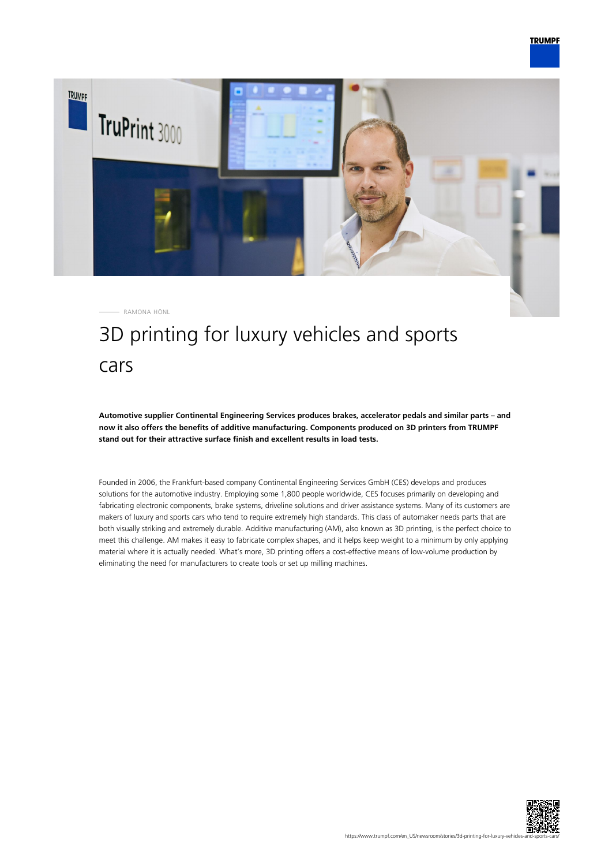

# 3D printing for luxury vehicles and sports cars

**Automotive supplier Continental Engineering Services produces brakes, accelerator pedals and similar parts – and now it also offers the benefits of additive manufacturing. Components produced on 3D printers from TRUMPF stand out for their attractive surface finish and excellent results in load tests.**

Founded in 2006, the Frankfurt-based company Continental Engineering Services GmbH (CES) develops and produces solutions for the automotive industry. Employing some 1,800 people worldwide, CES focuses primarily on developing and fabricating electronic components, brake systems, driveline solutions and driver assistance systems. Many of its customers are makers of luxury and sports cars who tend to require extremely high standards. This class of automaker needs parts that are both visually striking and extremely durable. Additive manufacturing (AM), also known as 3D printing, is the perfect choice to meet this challenge. AM makes it easy to fabricate complex shapes, and it helps keep weight to a minimum by only applying material where it is actually needed. What's more, 3D printing offers a cost-effective means of low-volume production by eliminating the need for manufacturers to create tools or set up milling machines.

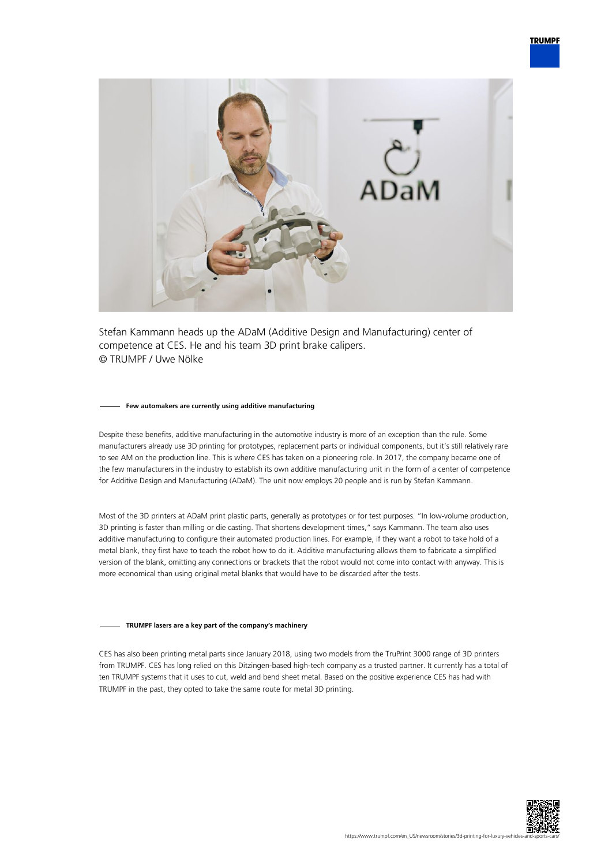

Stefan Kammann heads up the ADaM (Additive Design and Manufacturing) center of competence at CES. He and his team 3D print brake calipers. © TRUMPF / Uwe Nölke

#### **Few automakers are currently using additive manufacturing**

Despite these benefits, additive manufacturing in the automotive industry is more of an exception than the rule. Some manufacturers already use 3D printing for prototypes, replacement parts or individual components, but it's still relatively rare to see AM on the production line. This is where CES has taken on a pioneering role. In 2017, the company became one of the few manufacturers in the industry to establish its own additive manufacturing unit in the form of a center of competence for Additive Design and Manufacturing (ADaM). The unit now employs 20 people and is run by Stefan Kammann.

Most of the 3D printers at ADaM print plastic parts, generally as prototypes or for test purposes. "In low-volume production, 3D printing is faster than milling or die casting. That shortens development times," says Kammann. The team also uses additive manufacturing to configure their automated production lines. For example, if they want a robot to take hold of a metal blank, they first have to teach the robot how to do it. Additive manufacturing allows them to fabricate a simplified version of the blank, omitting any connections or brackets that the robot would not come into contact with anyway. This is more economical than using original metal blanks that would have to be discarded after the tests.

## **TRUMPF lasers are a key part of the company's machinery**

CES has also been printing metal parts since January 2018, using two models from the TruPrint 3000 range of 3D printers from TRUMPF. CES has long relied on this Ditzingen-based high-tech company as a trusted partner. It currently has a total of ten TRUMPF systems that it uses to cut, weld and bend sheet metal. Based on the positive experience CES has had with TRUMPF in the past, they opted to take the same route for metal 3D printing.

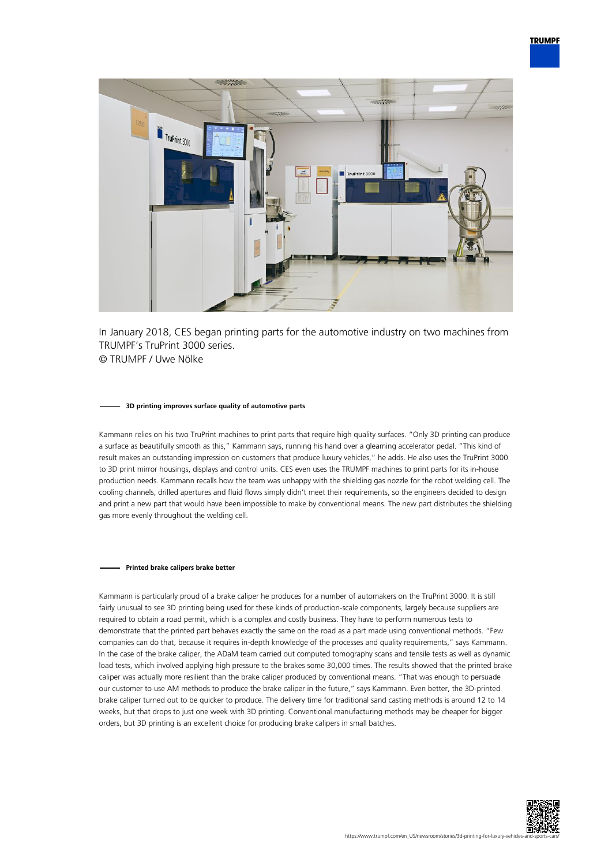

In January 2018, CES began printing parts for the automotive industry on two machines from TRUMPF's TruPrint 3000 series. © TRUMPF / Uwe Nölke

#### **3D printing improves surface quality of automotive parts**

Kammann relies on his two TruPrint machines to print parts that require high quality surfaces. "Only 3D printing can produce a surface as beautifully smooth as this," Kammann says, running his hand over a gleaming accelerator pedal. "This kind of result makes an outstanding impression on customers that produce luxury vehicles," he adds. He also uses the TruPrint 3000 to 3D print mirror housings, displays and control units. CES even uses the TRUMPF machines to print parts for its in-house production needs. Kammann recalls how the team was unhappy with the shielding gas nozzle for the robot welding cell. The cooling channels, drilled apertures and fluid flows simply didn't meet their requirements, so the engineers decided to design and print a new part that would have been impossible to make by conventional means. The new part distributes the shielding gas more evenly throughout the welding cell.

### **Printed brake calipers brake better**

Kammann is particularly proud of a brake caliper he produces for a number of automakers on the TruPrint 3000. It is still fairly unusual to see 3D printing being used for these kinds of production-scale components, largely because suppliers are required to obtain a road permit, which is a complex and costly business. They have to perform numerous tests to demonstrate that the printed part behaves exactly the same on the road as a part made using conventional methods. "Few companies can do that, because it requires in-depth knowledge of the processes and quality requirements," says Kammann. In the case of the brake caliper, the ADaM team carried out computed tomography scans and tensile tests as well as dynamic load tests, which involved applying high pressure to the brakes some 30,000 times. The results showed that the printed brake caliper was actually more resilient than the brake caliper produced by conventional means. "That was enough to persuade our customer to use AM methods to produce the brake caliper in the future," says Kammann. Even better, the 3D-printed brake caliper turned out to be quicker to produce. The delivery time for traditional sand casting methods is around 12 to 14 weeks, but that drops to just one week with 3D printing. Conventional manufacturing methods may be cheaper for bigger orders, but 3D printing is an excellent choice for producing brake calipers in small batches.